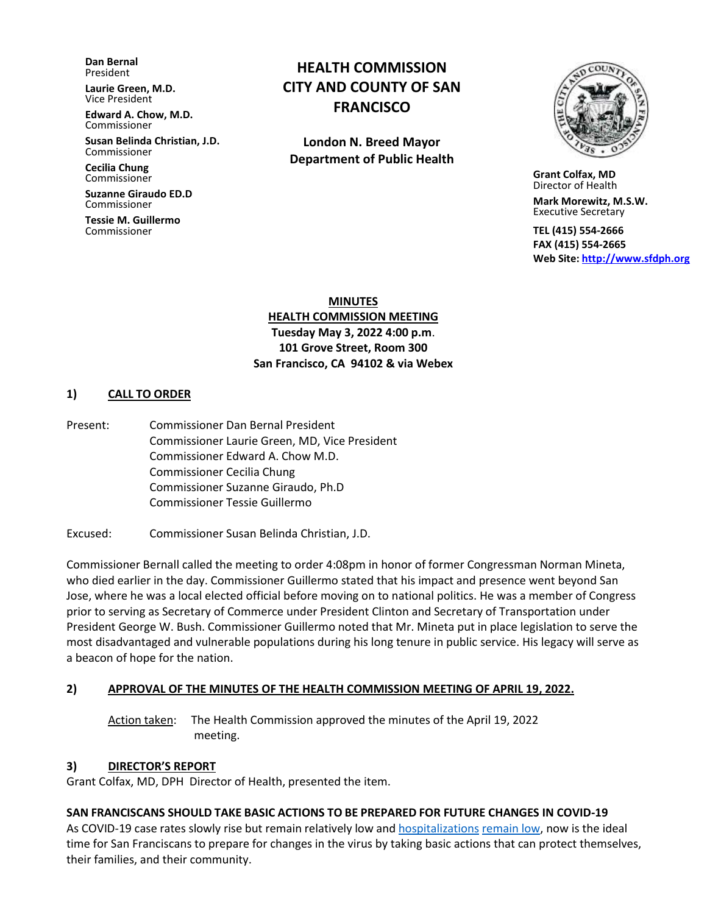**Dan Bernal** President

**Laurie Green, M.D.** Vice President

**Edward A. Chow, M.D.** Commissioner

**Susan Belinda Christian, J.D.** Commissioner

**Cecilia Chung**  Commissioner

**Suzanne Giraudo ED.D** Commissioner

**Tessie M. Guillermo** Commissioner

# **HEALTH COMMISSION CITY AND COUNTY OF SAN FRANCISCO**

**London N. Breed Mayor Department of Public Health**



 **Grant Colfax, MD**  Director of Health

 **Mark Morewitz, M.S.W.**  Executive Secretary

 **TEL (415) 554-2666 FAX (415) 554-2665 Web Site: [http://www.sfdph.org](http://www.sfdph.org/)**

**MINUTES HEALTH COMMISSION MEETING Tuesday May 3, 2022 4:00 p.m**. **101 Grove Street, Room 300 San Francisco, CA 94102 & via Webex**

#### **1) CALL TO ORDER**

Present: Commissioner Dan Bernal President Commissioner Laurie Green, MD, Vice President Commissioner Edward A. Chow M.D. Commissioner Cecilia Chung Commissioner Suzanne Giraudo, Ph.D Commissioner Tessie Guillermo

Excused:Commissioner Susan Belinda Christian, J.D.

Commissioner Bernall called the meeting to order 4:08pm in honor of former Congressman Norman Mineta, who died earlier in the day. Commissioner Guillermo stated that his impact and presence went beyond San Jose, where he was a local elected official before moving on to national politics. He was a member of Congress prior to serving as Secretary of Commerce under President Clinton and Secretary of Transportation under President George W. Bush. Commissioner Guillermo noted that Mr. Mineta put in place legislation to serve the most disadvantaged and vulnerable populations during his long tenure in public service. His legacy will serve as a beacon of hope for the nation.

#### **2) APPROVAL OF THE MINUTES OF THE HEALTH COMMISSION MEETING OF APRIL 19, 2022.**

Action taken: The Health Commission approved the minutes of the April 19, 2022 meeting.

#### **3) DIRECTOR'S REPORT**

Grant Colfax, MD, DPH Director of Health, presented the item.

## **SAN FRANCISCANS SHOULD TAKE BASIC ACTIONS TO BE PREPARED FOR FUTURE CHANGES IN COVID-19**

As COVID-19 case rates slowly rise but remain relatively low and [hospitalizations](https://sf.gov/data/covid-19-hospitalizations) [remain low,](https://sf.gov/data/covid-19-hospitalizations) now is the ideal time for San Franciscans to prepare for changes in the virus by taking basic actions that can protect themselves, their families, and their community.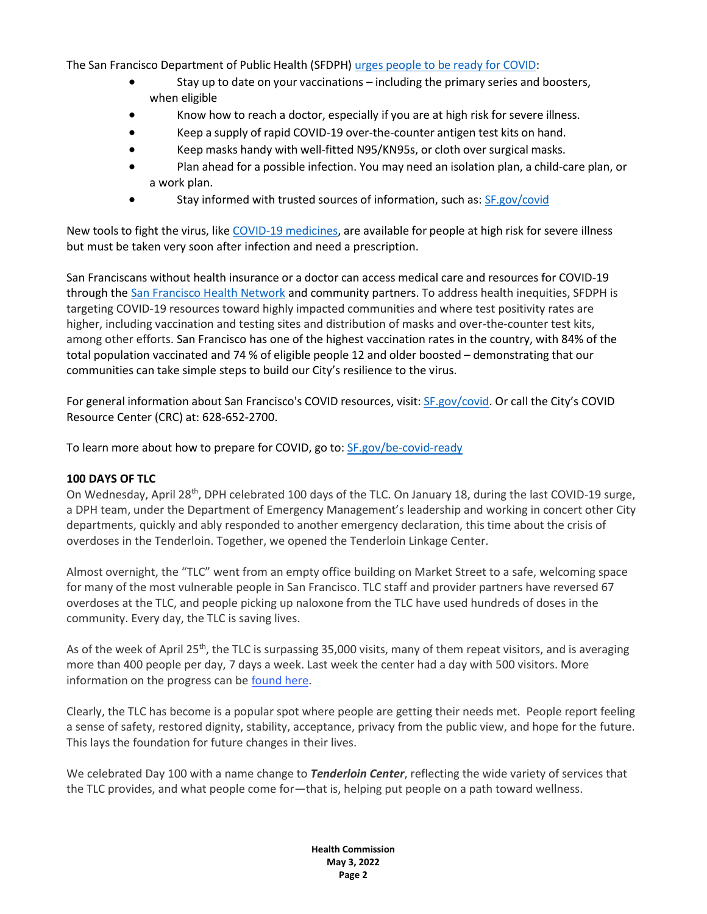The San Francisco Department of Public Health (SFDPH) urges people to be [ready for](https://sf.gov/be-covid-ready) COVID:

- Stay up to date on your vaccinations including the primary series and boosters, when eligible
- Know how to reach a doctor, especially if you are at high risk for severe illness.
- Keep a supply of rapid COVID-19 over-the-counter antigen test kits on hand.
- Keep masks handy with well-fitted N95/KN95s, or cloth over surgical masks.
- Plan ahead for a possible infection. You may need an isolation plan, a child-care plan, or a work plan.
- Stay informed with trusted sources of information, such as: [SF.gov/covid](https://sf.gov/topics/coronavirus-covid-19)

New tools to fight the virus, like COVID-19 [medicines,](https://sf.gov/news/san-franciscans-who-test-positive-covid-19-and-are-high-risk-severe-illness-are-eligible-covid) are available for people at high risk for severe illness but must be taken very soon after infection and need a prescription.

San Franciscans without health insurance or a doctor can access medical care and resources for COVID-19 through the [San Francisco Health Network](https://sfhealthnetwork.org/) and community partners. To address health inequities, SFDPH is targeting COVID-19 resources toward highly impacted communities and where test positivity rates are higher, including vaccination and testing sites and distribution of masks and over-the-counter test kits, among other efforts. San Francisco has one of the highest vaccination rates in the country, with 84% of the total population vaccinated and 74 % of eligible people 12 and older boosted – demonstrating that our communities can take simple steps to build our City's resilience to the virus.

For general information about San Francisco's COVID resources, visit: [SF.gov/covid.](https://sf.gov/topics/coronavirus-covid-19) Or call the City's COVID Resource Center (CRC) at: 628-652-2700.

To learn more about how to prepare for COVID, go to: [SF.gov/be-covid-ready](https://sf.gov/be-covid-ready)

#### **100 DAYS OF TLC**

On Wednesday, April 28<sup>th</sup>, DPH celebrated 100 days of the TLC. On January 18, during the last COVID-19 surge, a DPH team, under the Department of Emergency Management's leadership and working in concert other City departments, quickly and ably responded to another emergency declaration, this time about the crisis of overdoses in the Tenderloin. Together, we opened the Tenderloin Linkage Center.

Almost overnight, the "TLC" went from an empty office building on Market Street to a safe, welcoming space for many of the most vulnerable people in San Francisco. TLC staff and provider partners have reversed 67 overdoses at the TLC, and people picking up naloxone from the TLC have used hundreds of doses in the community. Every day, the TLC is saving lives.

As of the week of April 25<sup>th</sup>, the TLC is surpassing 35,000 visits, many of them repeat visitors, and is averaging more than 400 people per day, 7 days a week. Last week the center had a day with 500 visitors. More information on the progress can b[e found here.](https://t.e2ma.net/click/g75xkd/4l1ue9h/s00ail)

Clearly, the TLC has become is a popular spot where people are getting their needs met. People report feeling a sense of safety, restored dignity, stability, acceptance, privacy from the public view, and hope for the future. This lays the foundation for future changes in their lives.

We celebrated Day 100 with a name change to *Tenderloin Center*, reflecting the wide variety of services that the TLC provides, and what people come for—that is, helping put people on a path toward wellness.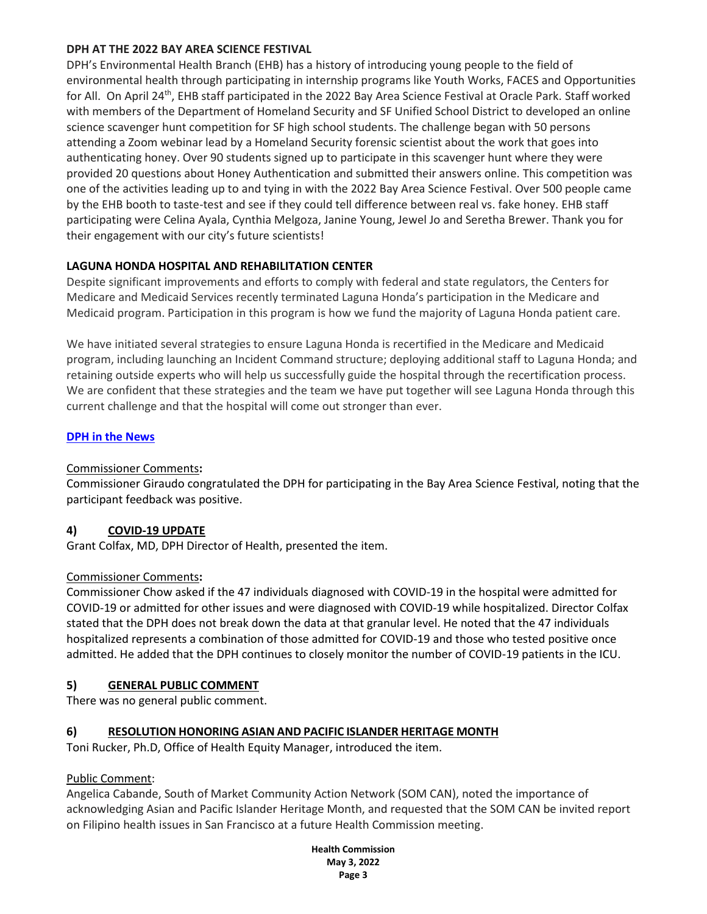## **DPH AT THE 2022 BAY AREA SCIENCE FESTIVAL**

DPH's Environmental Health Branch (EHB) has a history of introducing young people to the field of environmental health through participating in internship programs like Youth Works, FACES and Opportunities for All. On April 24<sup>th</sup>, EHB staff participated in the 2022 Bay Area Science Festival at Oracle Park. Staff worked with members of the Department of Homeland Security and SF Unified School District to developed an online science scavenger hunt competition for SF high school students. The challenge began with 50 persons attending a Zoom webinar lead by a Homeland Security forensic scientist about the work that goes into authenticating honey. Over 90 students signed up to participate in this scavenger hunt where they were provided 20 questions about Honey Authentication and submitted their answers online. This competition was one of the activities leading up to and tying in with the 2022 Bay Area Science Festival. Over 500 people came by the EHB booth to taste-test and see if they could tell difference between real vs. fake honey. EHB staff participating were Celina Ayala, Cynthia Melgoza, Janine Young, Jewel Jo and Seretha Brewer. Thank you for their engagement with our city's future scientists!

# **LAGUNA HONDA HOSPITAL AND REHABILITATION CENTER**

Despite significant improvements and efforts to comply with federal and state regulators, the Centers for Medicare and Medicaid Services recently terminated Laguna Honda's participation in the Medicare and Medicaid program. Participation in this program is how we fund the majority of Laguna Honda patient care.

We have initiated several strategies to ensure Laguna Honda is recertified in the Medicare and Medicaid program, including launching an Incident Command structure; deploying additional staff to Laguna Honda; and retaining outside experts who will help us successfully guide the hospital through the recertification process. We are confident that these strategies and the team we have put together will see Laguna Honda through this current challenge and that the hospital will come out stronger than ever.

## **DPH [in the News](https://news.google.com/search?q=san%20francisco%20department%20of%20public%20health%20when%3A14d&hl=en-US&gl=US&ceid=US%3Aen)**

## Commissioner Comments**:**

Commissioner Giraudo congratulated the DPH for participating in the Bay Area Science Festival, noting that the participant feedback was positive.

## **4) COVID-19 UPDATE**

Grant Colfax, MD, DPH Director of Health, presented the item.

## Commissioner Comments**:**

Commissioner Chow asked if the 47 individuals diagnosed with COVID-19 in the hospital were admitted for COVID-19 or admitted for other issues and were diagnosed with COVID-19 while hospitalized. Director Colfax stated that the DPH does not break down the data at that granular level. He noted that the 47 individuals hospitalized represents a combination of those admitted for COVID-19 and those who tested positive once admitted. He added that the DPH continues to closely monitor the number of COVID-19 patients in the ICU.

## **5) GENERAL PUBLIC COMMENT**

There was no general public comment.

## **6) RESOLUTION HONORING ASIAN AND PACIFIC ISLANDER HERITAGE MONTH**

Toni Rucker, Ph.D, Office of Health Equity Manager, introduced the item.

## Public Comment:

Angelica Cabande, South of Market Community Action Network (SOM CAN), noted the importance of acknowledging Asian and Pacific Islander Heritage Month, and requested that the SOM CAN be invited report on Filipino health issues in San Francisco at a future Health Commission meeting.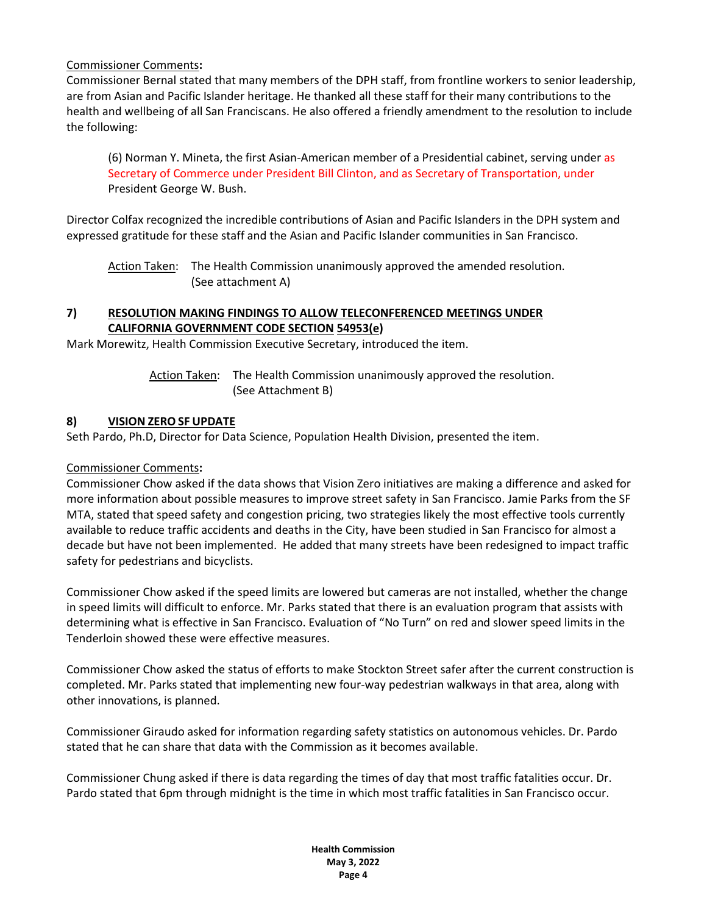## Commissioner Comments**:**

Commissioner Bernal stated that many members of the DPH staff, from frontline workers to senior leadership, are from Asian and Pacific Islander heritage. He thanked all these staff for their many contributions to the health and wellbeing of all San Franciscans. He also offered a friendly amendment to the resolution to include the following:

(6) Norman Y. Mineta, the first Asian-American member of a Presidential cabinet, serving under as Secretary of Commerce under President Bill Clinton, and as Secretary of Transportation, under President George W. Bush.

Director Colfax recognized the incredible contributions of Asian and Pacific Islanders in the DPH system and expressed gratitude for these staff and the Asian and Pacific Islander communities in San Francisco.

Action Taken: The Health Commission unanimously approved the amended resolution. (See attachment A)

## **7) RESOLUTION MAKING FINDINGS TO ALLOW TELECONFERENCED MEETINGS UNDER CALIFORNIA GOVERNMENT CODE SECTION 54953(e)**

Mark Morewitz, Health Commission Executive Secretary, introduced the item.

Action Taken: The Health Commission unanimously approved the resolution. (See Attachment B)

## **8) VISION ZERO SF UPDATE**

Seth Pardo, Ph.D, Director for Data Science, Population Health Division, presented the item.

#### Commissioner Comments**:**

Commissioner Chow asked if the data shows that Vision Zero initiatives are making a difference and asked for more information about possible measures to improve street safety in San Francisco. Jamie Parks from the SF MTA, stated that speed safety and congestion pricing, two strategies likely the most effective tools currently available to reduce traffic accidents and deaths in the City, have been studied in San Francisco for almost a decade but have not been implemented. He added that many streets have been redesigned to impact traffic safety for pedestrians and bicyclists.

Commissioner Chow asked if the speed limits are lowered but cameras are not installed, whether the change in speed limits will difficult to enforce. Mr. Parks stated that there is an evaluation program that assists with determining what is effective in San Francisco. Evaluation of "No Turn" on red and slower speed limits in the Tenderloin showed these were effective measures.

Commissioner Chow asked the status of efforts to make Stockton Street safer after the current construction is completed. Mr. Parks stated that implementing new four-way pedestrian walkways in that area, along with other innovations, is planned.

Commissioner Giraudo asked for information regarding safety statistics on autonomous vehicles. Dr. Pardo stated that he can share that data with the Commission as it becomes available.

Commissioner Chung asked if there is data regarding the times of day that most traffic fatalities occur. Dr. Pardo stated that 6pm through midnight is the time in which most traffic fatalities in San Francisco occur.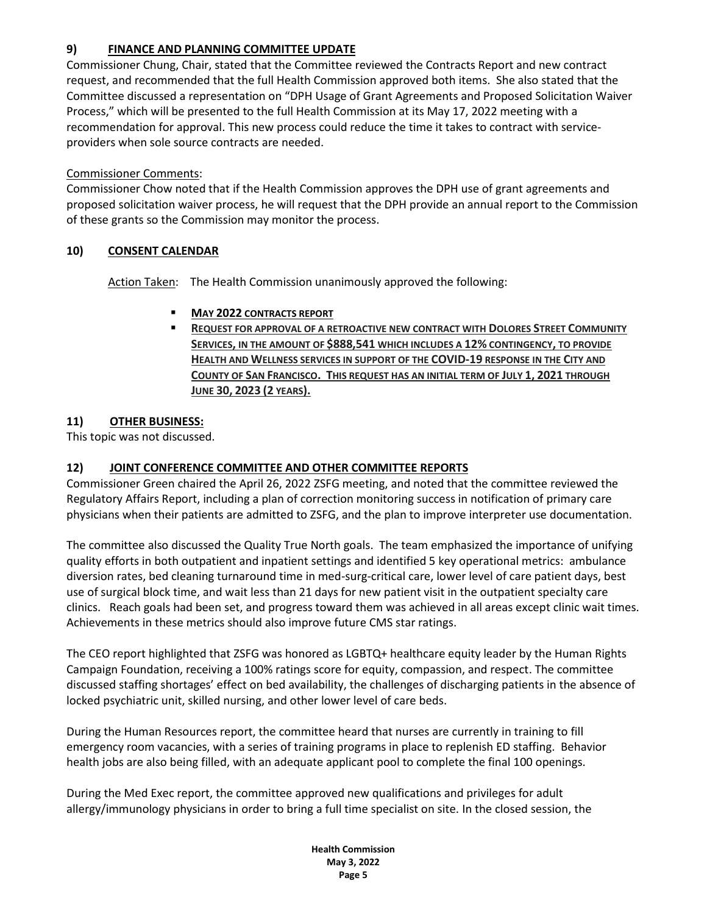## **9) FINANCE AND PLANNING COMMITTEE UPDATE**

Commissioner Chung, Chair, stated that the Committee reviewed the Contracts Report and new contract request, and recommended that the full Health Commission approved both items. She also stated that the Committee discussed a representation on "DPH Usage of Grant Agreements and Proposed Solicitation Waiver Process," which will be presented to the full Health Commission at its May 17, 2022 meeting with a recommendation for approval. This new process could reduce the time it takes to contract with serviceproviders when sole source contracts are needed.

## Commissioner Comments:

Commissioner Chow noted that if the Health Commission approves the DPH use of grant agreements and proposed solicitation waiver process, he will request that the DPH provide an annual report to the Commission of these grants so the Commission may monitor the process.

## **10) CONSENT CALENDAR**

Action Taken: The Health Commission unanimously approved the following:

## ▪ **MAY 2022 CONTRACTS REPORT**

▪ **REQUEST FOR APPROVAL OF A RETROACTIVE NEW CONTRACT WITH DOLORES STREET COMMUNITY SERVICES, IN THE AMOUNT OF \$888,541 WHICH INCLUDES A 12% CONTINGENCY, TO PROVIDE HEALTH AND WELLNESS SERVICES IN SUPPORT OF THE COVID-19 RESPONSE IN THE CITY AND COUNTY OF SAN FRANCISCO. THIS REQUEST HAS AN INITIAL TERM OF JULY 1, 2021 THROUGH JUNE 30, 2023 (2 YEARS).**

## **11) OTHER BUSINESS:**

This topic was not discussed.

## **12) JOINT CONFERENCE COMMITTEE AND OTHER COMMITTEE REPORTS**

Commissioner Green chaired the April 26, 2022 ZSFG meeting, and noted that the committee reviewed the Regulatory Affairs Report, including a plan of correction monitoring success in notification of primary care physicians when their patients are admitted to ZSFG, and the plan to improve interpreter use documentation.

The committee also discussed the Quality True North goals. The team emphasized the importance of unifying quality efforts in both outpatient and inpatient settings and identified 5 key operational metrics: ambulance diversion rates, bed cleaning turnaround time in med-surg-critical care, lower level of care patient days, best use of surgical block time, and wait less than 21 days for new patient visit in the outpatient specialty care clinics. Reach goals had been set, and progress toward them was achieved in all areas except clinic wait times. Achievements in these metrics should also improve future CMS star ratings.

The CEO report highlighted that ZSFG was honored as LGBTQ+ healthcare equity leader by the Human Rights Campaign Foundation, receiving a 100% ratings score for equity, compassion, and respect. The committee discussed staffing shortages' effect on bed availability, the challenges of discharging patients in the absence of locked psychiatric unit, skilled nursing, and other lower level of care beds.

During the Human Resources report, the committee heard that nurses are currently in training to fill emergency room vacancies, with a series of training programs in place to replenish ED staffing. Behavior health jobs are also being filled, with an adequate applicant pool to complete the final 100 openings.

During the Med Exec report, the committee approved new qualifications and privileges for adult allergy/immunology physicians in order to bring a full time specialist on site. In the closed session, the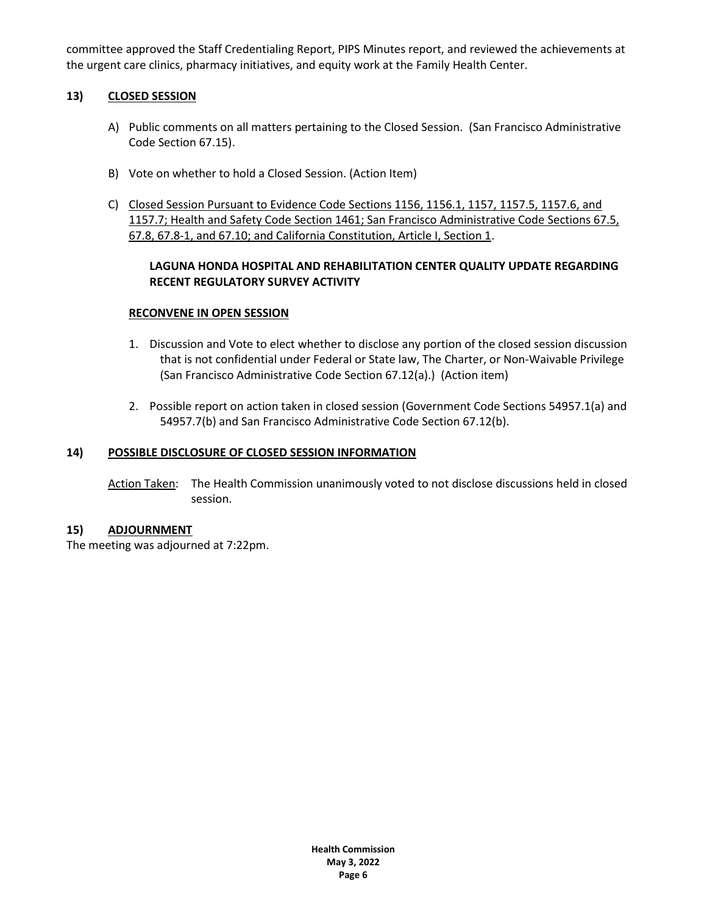committee approved the Staff Credentialing Report, PIPS Minutes report, and reviewed the achievements at the urgent care clinics, pharmacy initiatives, and equity work at the Family Health Center.

#### **13) CLOSED SESSION**

- A) Public comments on all matters pertaining to the Closed Session. (San Francisco Administrative Code Section 67.15).
- B) Vote on whether to hold a Closed Session. (Action Item)
- C) Closed Session Pursuant to Evidence Code Sections 1156, 1156.1, 1157, 1157.5, 1157.6, and 1157.7; Health and Safety Code Section 1461; San Francisco Administrative Code Sections 67.5, 67.8, 67.8-1, and 67.10; and California Constitution, Article I, Section 1.

#### **LAGUNA HONDA HOSPITAL AND REHABILITATION CENTER QUALITY UPDATE REGARDING RECENT REGULATORY SURVEY ACTIVITY**

#### **RECONVENE IN OPEN SESSION**

- 1. Discussion and Vote to elect whether to disclose any portion of the closed session discussion that is not confidential under Federal or State law, The Charter, or Non-Waivable Privilege (San Francisco Administrative Code Section 67.12(a).) (Action item)
- 2. Possible report on action taken in closed session (Government Code Sections 54957.1(a) and 54957.7(b) and San Francisco Administrative Code Section 67.12(b).

#### **14) POSSIBLE DISCLOSURE OF CLOSED SESSION INFORMATION**

Action Taken: The Health Commission unanimously voted to not disclose discussions held in closed session.

#### **15) ADJOURNMENT**

The meeting was adjourned at 7:22pm.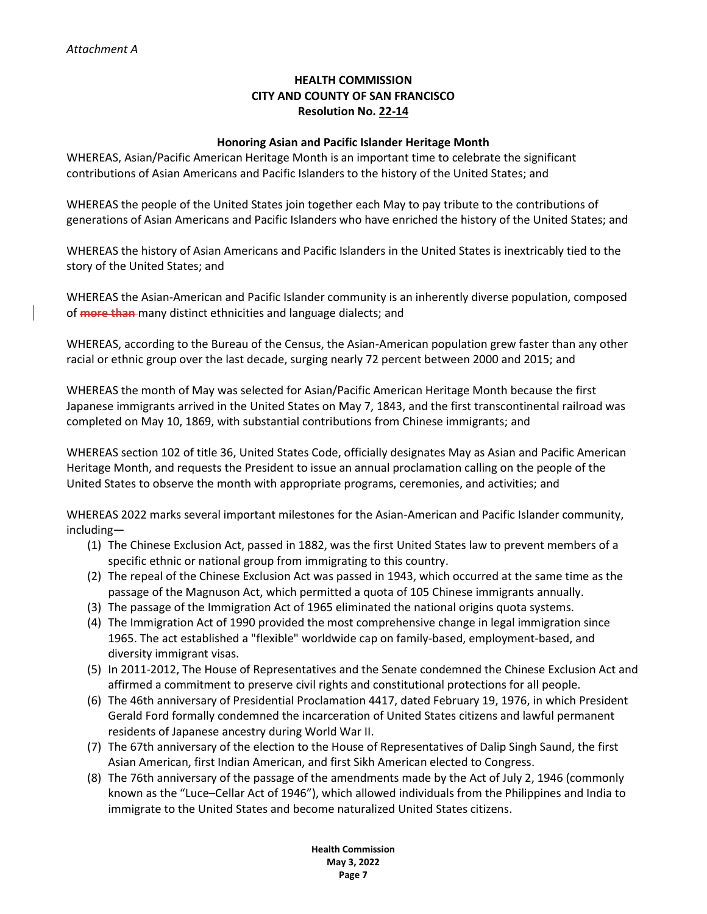## **HEALTH COMMISSION CITY AND COUNTY OF SAN FRANCISCO Resolution No. 22-14**

#### **Honoring Asian and Pacific Islander Heritage Month**

WHEREAS, Asian/Pacific American Heritage Month is an important time to celebrate the significant contributions of Asian Americans and Pacific Islanders to the history of the United States; and

WHEREAS the people of the United States join together each May to pay tribute to the contributions of generations of Asian Americans and Pacific Islanders who have enriched the history of the United States; and

WHEREAS the history of Asian Americans and Pacific Islanders in the United States is inextricably tied to the story of the United States; and

WHEREAS the Asian-American and Pacific Islander community is an inherently diverse population, composed of **more than** many distinct ethnicities and language dialects; and

WHEREAS, according to the Bureau of the Census, the Asian-American population grew faster than any other racial or ethnic group over the last decade, surging nearly 72 percent between 2000 and 2015; and

WHEREAS the month of May was selected for Asian/Pacific American Heritage Month because the first Japanese immigrants arrived in the United States on May 7, 1843, and the first transcontinental railroad was completed on May 10, 1869, with substantial contributions from Chinese immigrants; and

WHEREAS section 102 of title 36, United States Code, officially designates May as Asian and Pacific American Heritage Month, and requests the President to issue an annual proclamation calling on the people of the United States to observe the month with appropriate programs, ceremonies, and activities; and

WHEREAS 2022 marks several important milestones for the Asian-American and Pacific Islander community, including—

- (1) The Chinese Exclusion Act, passed in 1882, was the first United States law to prevent members of a specific ethnic or national group from immigrating to this country.
- (2) The repeal of the Chinese Exclusion Act was passed in 1943, which occurred at the same time as the passage of the Magnuson Act, which permitted a quota of 105 Chinese immigrants annually.
- (3) The passage of the Immigration Act of 1965 eliminated the national origins quota systems.
- (4) The Immigration Act of 1990 provided the most comprehensive change in legal immigration since 1965. The act established a "flexible" worldwide cap on family-based, employment-based, and diversity immigrant visas.
- (5) In 2011-2012, The House of Representatives and the Senate condemned the Chinese Exclusion Act and affirmed a commitment to preserve civil rights and constitutional protections for all people.
- (6) The 46th anniversary of Presidential Proclamation 4417, dated February 19, 1976, in which President Gerald Ford formally condemned the incarceration of United States citizens and lawful permanent residents of Japanese ancestry during World War II.
- (7) The 67th anniversary of the election to the House of Representatives of Dalip Singh Saund, the first Asian American, first Indian American, and first Sikh American elected to Congress.
- (8) The 76th anniversary of the passage of the amendments made by the Act of July 2, 1946 (commonly known as the "Luce–Cellar Act of 1946"), which allowed individuals from the Philippines and India to immigrate to the United States and become naturalized United States citizens.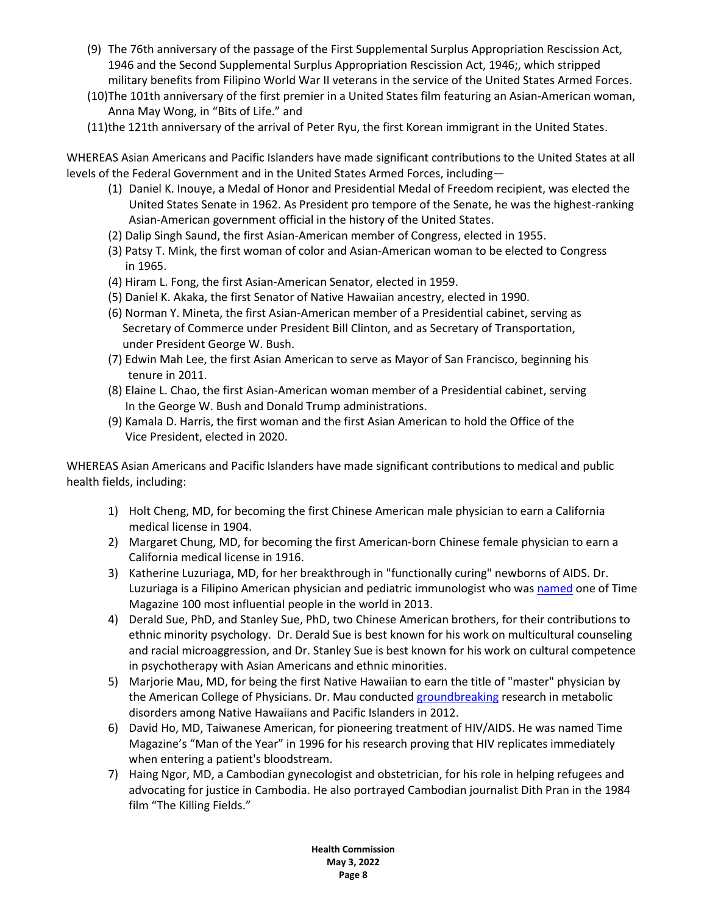- (9) The 76th anniversary of the passage of the First Supplemental Surplus Appropriation Rescission Act, 1946 and the Second Supplemental Surplus Appropriation Rescission Act, 1946;, which stripped military benefits from Filipino World War II veterans in the service of the United States Armed Forces.
- (10)The 101th anniversary of the first premier in a United States film featuring an Asian-American woman, Anna May Wong, in "Bits of Life." and
- (11)the 121th anniversary of the arrival of Peter Ryu, the first Korean immigrant in the United States.

WHEREAS Asian Americans and Pacific Islanders have made significant contributions to the United States at all levels of the Federal Government and in the United States Armed Forces, including—

- (1) Daniel K. Inouye, a Medal of Honor and Presidential Medal of Freedom recipient, was elected the United States Senate in 1962. As President pro tempore of the Senate, he was the highest-ranking Asian-American government official in the history of the United States.
- (2) Dalip Singh Saund, the first Asian-American member of Congress, elected in 1955.
- (3) Patsy T. Mink, the first woman of color and Asian-American woman to be elected to Congress in 1965.
- (4) Hiram L. Fong, the first Asian-American Senator, elected in 1959.
- (5) Daniel K. Akaka, the first Senator of Native Hawaiian ancestry, elected in 1990.
- (6) Norman Y. Mineta, the first Asian-American member of a Presidential cabinet, serving as Secretary of Commerce under President Bill Clinton, and as Secretary of Transportation, under President George W. Bush.
- (7) Edwin Mah Lee, the first Asian American to serve as Mayor of San Francisco, beginning his tenure in 2011.
- (8) Elaine L. Chao, the first Asian-American woman member of a Presidential cabinet, serving In the George W. Bush and Donald Trump administrations.
- (9) Kamala D. Harris, the first woman and the first Asian American to hold the Office of the Vice President, elected in 2020.

WHEREAS Asian Americans and Pacific Islanders have made significant contributions to medical and public health fields, including:

- 1) Holt Cheng, MD, for becoming the first Chinese American male physician to earn a California medical license in 1904.
- 2) Margaret Chung, MD, for becoming the first American-born Chinese female physician to earn a California medical license in 1916.
- 3) Katherine Luzuriaga, MD, for her breakthrough in "functionally curing" newborns of AIDS. Dr. Luzuriaga is a Filipino American physician and pediatric immunologist who was [named](https://blog.abim.org/notable-asianpacific-american-physicians-in-u-s-history/#:~:text=%20Notable%20Asian%2FPacific%20American%20Physicians%20in%20U.S.%20History,was%20a%20gynecologist%20and%20obstetrician%20in...%20More%20) one of Time Magazine 100 most influential people in the world in 2013.
- 4) Derald Sue, PhD, and Stanley Sue, PhD, two Chinese American brothers, for their contributions to ethnic minority psychology. Dr. Derald Sue is best known for his work on multicultural counseling and racial microaggression, and Dr. Stanley Sue is best known for his work on cultural competence in psychotherapy with Asian Americans and ethnic minorities.
- 5) Marjorie Mau, MD, for being the first Native Hawaiian to earn the title of "master" physician by the American College of Physicians. Dr. Mau conducted [groundbreaking](https://www.hawaii.edu/news/2016/05/10/marjorie-mau-first-native-hawaiian-woman-ranked-master-physician/) research in metabolic disorders among Native Hawaiians and Pacific Islanders in 2012.
- 6) David Ho, MD, Taiwanese American, for pioneering treatment of HIV/AIDS. He was named Time Magazine's "Man of the Year" in 1996 for his research proving that HIV replicates immediately when entering a patient's bloodstream.
- 7) Haing Ngor, MD, a Cambodian gynecologist and obstetrician, for his role in helping refugees and advocating for justice in Cambodia. He also portrayed Cambodian journalist Dith Pran in the 1984 film "The Killing Fields."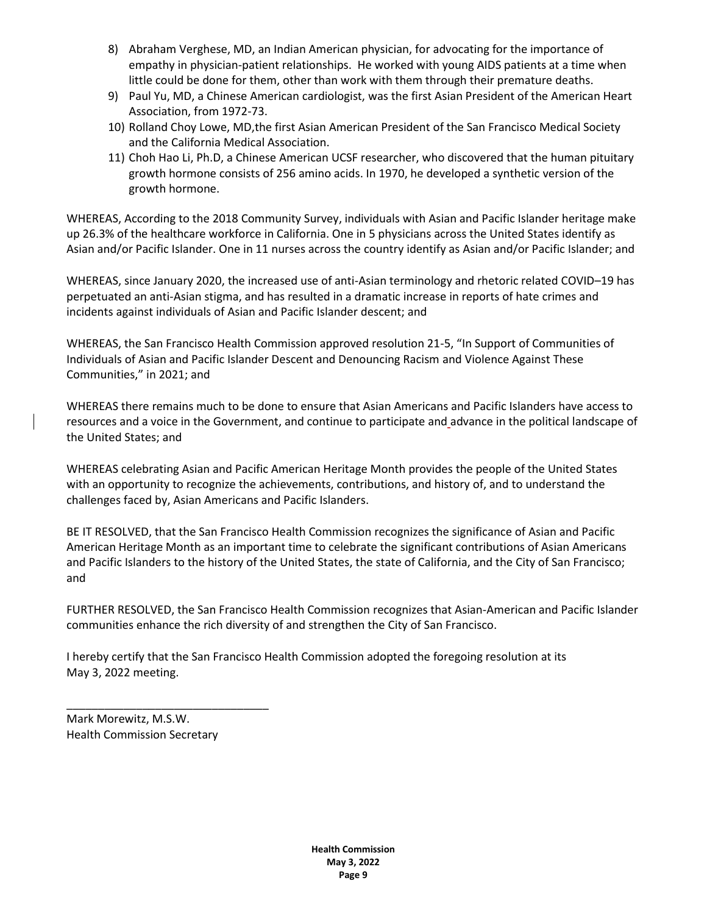- 8) Abraham Verghese, MD, an Indian American physician, for advocating for the importance of empathy in physician-patient relationships. He worked with young AIDS patients at a time when little could be done for them, other than work with them through their premature deaths.
- 9) Paul Yu, MD, a Chinese American cardiologist, was the first Asian President of the American Heart Association, from 1972-73.
- 10) Rolland Choy Lowe, MD,the first Asian American President of the San Francisco Medical Society and the California Medical Association.
- 11) Choh Hao Li, Ph.D, a Chinese American UCSF researcher, who discovered that the human pituitary growth hormone consists of 256 amino acids. In 1970, he developed a synthetic version of the growth hormone.

WHEREAS, According to the 2018 Community Survey, individuals with Asian and Pacific Islander heritage make up 26.3% of the healthcare workforce in California. One in 5 physicians across the United States identify as Asian and/or Pacific Islander. One in 11 nurses across the country identify as Asian and/or Pacific Islander; and

WHEREAS, since January 2020, the increased use of anti-Asian terminology and rhetoric related COVID–19 has perpetuated an anti-Asian stigma, and has resulted in a dramatic increase in reports of hate crimes and incidents against individuals of Asian and Pacific Islander descent; and

WHEREAS, the San Francisco Health Commission approved resolution 21-5, "In Support of Communities of Individuals of Asian and Pacific Islander Descent and Denouncing Racism and Violence Against These Communities," in 2021; and

WHEREAS there remains much to be done to ensure that Asian Americans and Pacific Islanders have access to resources and a voice in the Government, and continue to participate and advance in the political landscape of the United States; and

WHEREAS celebrating Asian and Pacific American Heritage Month provides the people of the United States with an opportunity to recognize the achievements, contributions, and history of, and to understand the challenges faced by, Asian Americans and Pacific Islanders.

BE IT RESOLVED, that the San Francisco Health Commission recognizes the significance of Asian and Pacific American Heritage Month as an important time to celebrate the significant contributions of Asian Americans and Pacific Islanders to the history of the United States, the state of California, and the City of San Francisco; and

FURTHER RESOLVED, the San Francisco Health Commission recognizes that Asian-American and Pacific Islander communities enhance the rich diversity of and strengthen the City of San Francisco.

I hereby certify that the San Francisco Health Commission adopted the foregoing resolution at its May 3, 2022 meeting.

Mark Morewitz, M.S.W. Health Commission Secretary

\_\_\_\_\_\_\_\_\_\_\_\_\_\_\_\_\_\_\_\_\_\_\_\_\_\_\_\_\_\_\_\_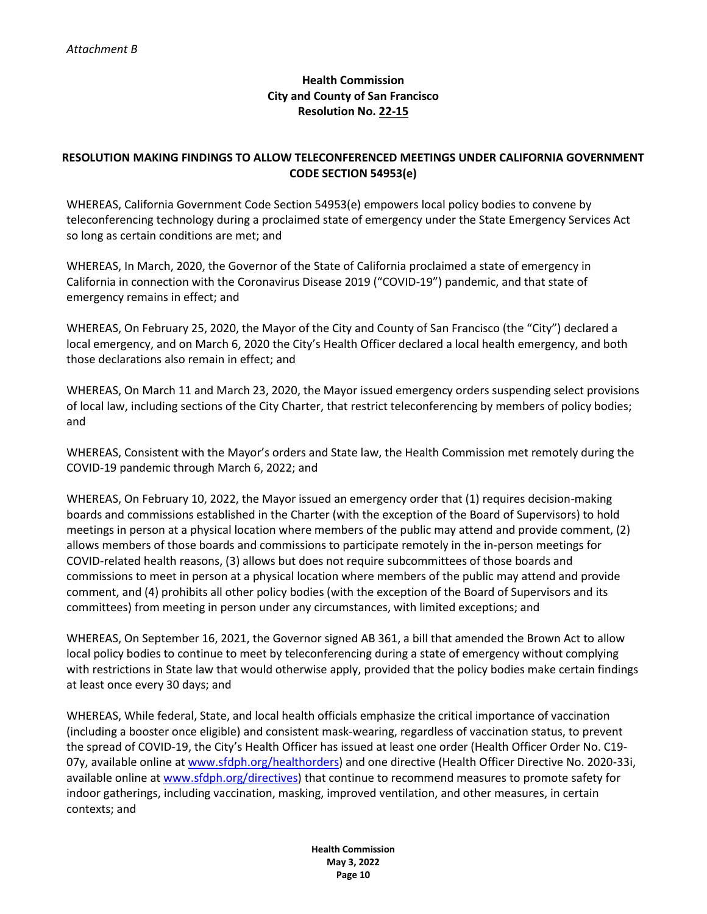## **Health Commission City and County of San Francisco Resolution No. 22-15**

## **RESOLUTION MAKING FINDINGS TO ALLOW TELECONFERENCED MEETINGS UNDER CALIFORNIA GOVERNMENT CODE SECTION 54953(e)**

WHEREAS, California Government Code Section 54953(e) empowers local policy bodies to convene by teleconferencing technology during a proclaimed state of emergency under the State Emergency Services Act so long as certain conditions are met; and

WHEREAS, In March, 2020, the Governor of the State of California proclaimed a state of emergency in California in connection with the Coronavirus Disease 2019 ("COVID-19") pandemic, and that state of emergency remains in effect; and

WHEREAS, On February 25, 2020, the Mayor of the City and County of San Francisco (the "City") declared a local emergency, and on March 6, 2020 the City's Health Officer declared a local health emergency, and both those declarations also remain in effect; and

WHEREAS, On March 11 and March 23, 2020, the Mayor issued emergency orders suspending select provisions of local law, including sections of the City Charter, that restrict teleconferencing by members of policy bodies; and

WHEREAS, Consistent with the Mayor's orders and State law, the Health Commission met remotely during the COVID-19 pandemic through March 6, 2022; and

WHEREAS, On February 10, 2022, the Mayor issued an emergency order that (1) requires decision-making boards and commissions established in the Charter (with the exception of the Board of Supervisors) to hold meetings in person at a physical location where members of the public may attend and provide comment, (2) allows members of those boards and commissions to participate remotely in the in-person meetings for COVID-related health reasons, (3) allows but does not require subcommittees of those boards and commissions to meet in person at a physical location where members of the public may attend and provide comment, and (4) prohibits all other policy bodies (with the exception of the Board of Supervisors and its committees) from meeting in person under any circumstances, with limited exceptions; and

WHEREAS, On September 16, 2021, the Governor signed AB 361, a bill that amended the Brown Act to allow local policy bodies to continue to meet by teleconferencing during a state of emergency without complying with restrictions in State law that would otherwise apply, provided that the policy bodies make certain findings at least once every 30 days; and

WHEREAS, While federal, State, and local health officials emphasize the critical importance of vaccination (including a booster once eligible) and consistent mask-wearing, regardless of vaccination status, to prevent the spread of COVID-19, the City's Health Officer has issued at least one order (Health Officer Order No. C19- 07y, available online at [www.sfdph.org/healthorders\)](https://www.sfdph.org/healthorders) and one directive (Health Officer Directive No. 2020-33i, available online a[t www.sfdph.org/directives\)](https://www.sfdph.org/directives) that continue to recommend measures to promote safety for indoor gatherings, including vaccination, masking, improved ventilation, and other measures, in certain contexts; and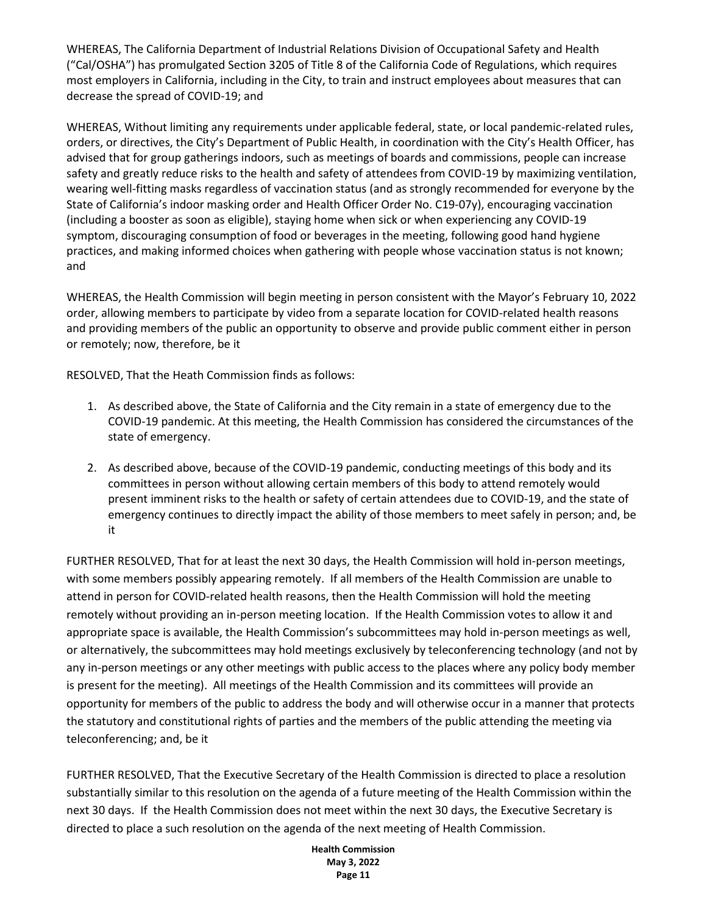WHEREAS, The California Department of Industrial Relations Division of Occupational Safety and Health ("Cal/OSHA") has promulgated Section 3205 of Title 8 of the California Code of Regulations, which requires most employers in California, including in the City, to train and instruct employees about measures that can decrease the spread of COVID-19; and

WHEREAS, Without limiting any requirements under applicable federal, state, or local pandemic-related rules, orders, or directives, the City's Department of Public Health, in coordination with the City's Health Officer, has advised that for group gatherings indoors, such as meetings of boards and commissions, people can increase safety and greatly reduce risks to the health and safety of attendees from COVID-19 by maximizing ventilation, wearing well-fitting masks regardless of vaccination status (and as strongly recommended for everyone by the State of California's indoor masking order and Health Officer Order No. C19-07y), encouraging vaccination (including a booster as soon as eligible), staying home when sick or when experiencing any COVID-19 symptom, discouraging consumption of food or beverages in the meeting, following good hand hygiene practices, and making informed choices when gathering with people whose vaccination status is not known; and

WHEREAS, the Health Commission will begin meeting in person consistent with the Mayor's February 10, 2022 order, allowing members to participate by video from a separate location for COVID-related health reasons and providing members of the public an opportunity to observe and provide public comment either in person or remotely; now, therefore, be it

RESOLVED, That the Heath Commission finds as follows:

- 1. As described above, the State of California and the City remain in a state of emergency due to the COVID-19 pandemic. At this meeting, the Health Commission has considered the circumstances of the state of emergency.
- 2. As described above, because of the COVID-19 pandemic, conducting meetings of this body and its committees in person without allowing certain members of this body to attend remotely would present imminent risks to the health or safety of certain attendees due to COVID-19, and the state of emergency continues to directly impact the ability of those members to meet safely in person; and, be it

FURTHER RESOLVED, That for at least the next 30 days, the Health Commission will hold in-person meetings, with some members possibly appearing remotely. If all members of the Health Commission are unable to attend in person for COVID-related health reasons, then the Health Commission will hold the meeting remotely without providing an in-person meeting location. If the Health Commission votes to allow it and appropriate space is available, the Health Commission's subcommittees may hold in-person meetings as well, or alternatively, the subcommittees may hold meetings exclusively by teleconferencing technology (and not by any in-person meetings or any other meetings with public access to the places where any policy body member is present for the meeting). All meetings of the Health Commission and its committees will provide an opportunity for members of the public to address the body and will otherwise occur in a manner that protects the statutory and constitutional rights of parties and the members of the public attending the meeting via teleconferencing; and, be it

FURTHER RESOLVED, That the Executive Secretary of the Health Commission is directed to place a resolution substantially similar to this resolution on the agenda of a future meeting of the Health Commission within the next 30 days. If the Health Commission does not meet within the next 30 days, the Executive Secretary is directed to place a such resolution on the agenda of the next meeting of Health Commission.